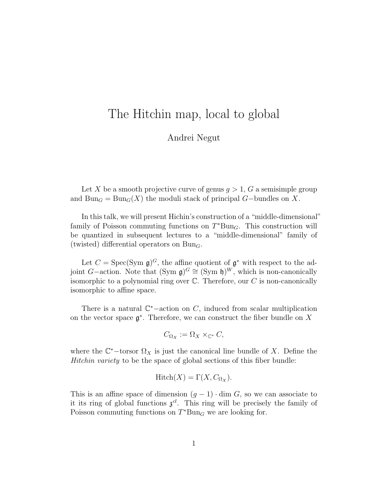## The Hitchin map, local to global

Andrei Negut

Let X be a smooth projective curve of genus  $g > 1$ , G a semisimple group and Bun<sub>G</sub> = Bun<sub>G</sub>(X) the moduli stack of principal G–bundles on X.

In this talk, we will present Hichin's construction of a "middle-dimensional" family of Poisson commuting functions on  $T^*Bun_G$ . This construction will be quantized in subsequent lectures to a "middle-dimensional" family of (twisted) differential operators on  $Bun_G$ .

Let  $C = \text{Spec}(\text{Sym } \mathfrak{g})^G$ , the affine quotient of  $\mathfrak{g}^*$  with respect to the adjoint G–action. Note that  $(\text{Sym } \mathfrak{g})^G \cong (\text{Sym } \mathfrak{h})^W$ , which is non-canonically isomorphic to a polynomial ring over  $\mathbb C$ . Therefore, our  $C$  is non-canonically isomorphic to affine space.

There is a natural  $\mathbb{C}^*$ -action on C, induced from scalar multiplication on the vector space  $\mathfrak{g}^*$ . Therefore, we can construct the fiber bundle on X

$$
C_{\Omega_X} := \Omega_X \times_{\mathbb{C}^*} C,
$$

where the  $\mathbb{C}^*$ -torsor  $\Omega_X$  is just the canonical line bundle of X. Define the Hitchin variety to be the space of global sections of this fiber bundle:

$$
Hitch(X) = \Gamma(X, C_{\Omega_X}).
$$

This is an affine space of dimension  $(g - 1) \cdot \dim G$ , so we can associate to it its ring of global functions  $\mathfrak{z}^{cl}$ . This ring will be precisely the family of Poisson commuting functions on  $T^*Bun_G$  we are looking for.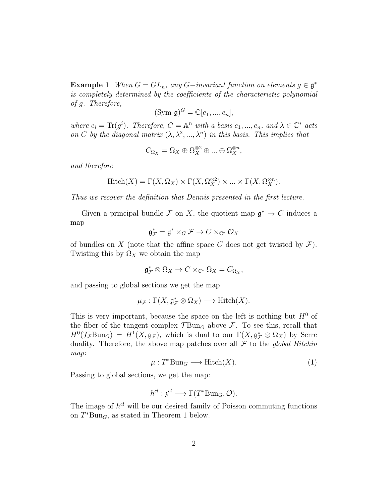**Example 1** When  $G = GL_n$ , any  $G$ -invariant function on elements  $g \in \mathfrak{g}^*$ is completely determined by the coefficients of the characteristic polynomial of g. Therefore,

$$
(\text{Sym } \mathfrak{g})^G = \mathbb{C}[e_1, ..., e_n],
$$

where  $e_i = \text{Tr}(g^i)$ . Therefore,  $C = \mathbb{A}^n$  with a basis  $e_1, ..., e_n$ , and  $\lambda \in \mathbb{C}^*$  acts on C by the diagonal matrix  $(\lambda, \lambda^2, ..., \lambda^n)$  in this basis. This implies that

$$
C_{\Omega_X}=\Omega_X\oplus\Omega_X^{\otimes 2}\oplus\ldots\oplus\Omega_X^{\otimes n},
$$

and therefore

$$
Hitch(X) = \Gamma(X, \Omega_X) \times \Gamma(X, \Omega_X^{\otimes 2}) \times \dots \times \Gamma(X, \Omega_X^{\otimes n}).
$$

Thus we recover the definition that Dennis presented in the first lecture.

Given a principal bundle F on X, the quotient map  $\mathfrak{g}^* \to C$  induces a map

$$
\mathfrak{g}^*_{\mathcal{F}}=\mathfrak{g}^*\times_G\mathcal{F}\to C\times_{\mathbb{C}^*}\mathcal{O}_X
$$

of bundles on X (note that the affine space C does not get twisted by  $\mathcal{F}$ ). Twisting this by  $\Omega_X$  we obtain the map

$$
\mathfrak{g}^*_{\mathcal{F}}\otimes \Omega_X\to C\times_{\mathbb{C}^*}\Omega_X=C_{\Omega_X},
$$

and passing to global sections we get the map

$$
\mu_{\mathcal{F}} : \Gamma(X, \mathfrak{g}_{\mathcal{F}}^* \otimes \Omega_X) \longrightarrow \mathrm{Hitch}(X).
$$

This is very important, because the space on the left is nothing but  $H^0$  of the fiber of the tangent complex  $\mathcal{T}_{\text{Bun}_G}$  above  $\mathcal{F}_{\text{A}}$ . To see this, recall that  $H^0(\mathcal{T}_{\mathcal{F}}\mathrm{Bun}_G) = H^1(X,\mathfrak{g}_{\mathcal{F}})$ , which is dual to our  $\Gamma(X,\mathfrak{g}_{\mathcal{F}}^*\otimes \Omega_X)$  by Serre duality. Therefore, the above map patches over all  $\mathcal F$  to the global Hitchin map:

$$
\mu: T^* \text{Bun}_G \longrightarrow \text{Hitch}(X). \tag{1}
$$

Passing to global sections, we get the map:

$$
h^{cl}: \mathfrak{z}^{cl} \longrightarrow \Gamma(T^* \text{Bun}_G, \mathcal{O}).
$$

The image of  $h^{cl}$  will be our desired family of Poisson commuting functions on  $T^*Bun_G$ , as stated in Theorem 1 below.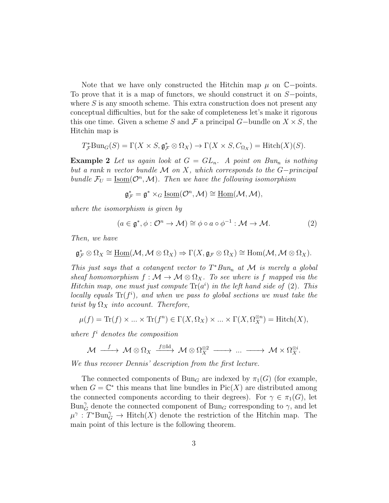Note that we have only constructed the Hitchin map  $\mu$  on  $\mathbb{C}$ −points. To prove that it is a map of functors, we should construct it on S−points, where  $S$  is any smooth scheme. This extra construction does not present any conceptual difficulties, but for the sake of completeness let's make it rigorous this one time. Given a scheme S and F a principal G-bundle on  $X \times S$ , the Hitchin map is

$$
T_{\mathcal{F}}^* \text{Bun}_G(S) = \Gamma(X \times S, \mathfrak{g}_{\mathcal{F}}^* \otimes \Omega_X) \to \Gamma(X \times S, C_{\Omega_X}) = \text{Hitch}(X)(S).
$$

**Example 2** Let us again look at  $G = GL_n$ . A point on Bun<sub>n</sub> is nothing but a rank n vector bundle  $\mathcal M$  on X, which corresponds to the G-principal bundle  $\mathcal{F}_U = \underline{\text{Isom}}(\mathcal{O}^n, \mathcal{M})$ . Then we have the following isomorphism

$$
\mathfrak{g}^*_{\mathcal{F}} = \mathfrak{g}^* \times_G \underline{\mathrm{Isom}}(\mathcal{O}^n, \mathcal{M}) \cong \underline{\mathrm{Hom}}(\mathcal{M}, \mathcal{M}),
$$

where the isomorphism is given by

$$
(a \in \mathfrak{g}^*, \phi : \mathcal{O}^n \to \mathcal{M}) \cong \phi \circ a \circ \phi^{-1} : \mathcal{M} \to \mathcal{M}.
$$
 (2)

Then, we have

$$
\mathfrak{g}_{\mathcal{F}}^* \otimes \Omega_X \cong \underline{\mathrm{Hom}}(\mathcal{M}, \mathcal{M} \otimes \Omega_X) \Rightarrow \Gamma(X, \mathfrak{g}_{\mathcal{F}} \otimes \Omega_X) \cong \mathrm{Hom}(\mathcal{M}, \mathcal{M} \otimes \Omega_X).
$$

This just says that a cotangent vector to  $T^*Bun_n$  at M is merely a global sheaf homomorphism  $f : \mathcal{M} \to \mathcal{M} \otimes \Omega_X$ . To see where is f mapped via the Hitchin map, one must just compute  $\text{Tr}(a^i)$  in the left hand side of (2). This locally equals  $\text{Tr}(f^i)$ , and when we pass to global sections we must take the twist by  $\Omega_X$  into account. Therefore,

$$
\mu(f) = \text{Tr}(f) \times \dots \times \text{Tr}(f^n) \in \Gamma(X, \Omega_X) \times \dots \times \Gamma(X, \Omega_X^{\otimes n}) = \text{Hitch}(X),
$$

where  $f<sup>i</sup>$  denotes the composition

$$
\mathcal{M} \xrightarrow{f} \mathcal{M} \otimes \Omega_X \xrightarrow{f \otimes \mathrm{Id}} \mathcal{M} \otimes \Omega_X^{\otimes 2} \xrightarrow{f \otimes \mathrm{Id}} \dots \xrightarrow{f} \mathcal{M} \times \Omega_X^{\otimes i}.
$$

We thus recover Dennis' description from the first lecture.

The connected components of Bun<sub>G</sub> are indexed by  $\pi_1(G)$  (for example, when  $G = \mathbb{C}^*$  this means that line bundles in  $Pic(X)$  are distributed among the connected components according to their degrees). For  $\gamma \in \pi_1(G)$ , let  $\operatorname{Bun}_G^{\gamma}$  denote the connected component of  $\operatorname{Bun}_G$  corresponding to  $\gamma$ , and let  $\mu^{\gamma} : T^* \text{Bun}_{G}^{\gamma} \to \text{Hitch}(X)$  denote the restriction of the Hitchin map. The main point of this lecture is the following theorem.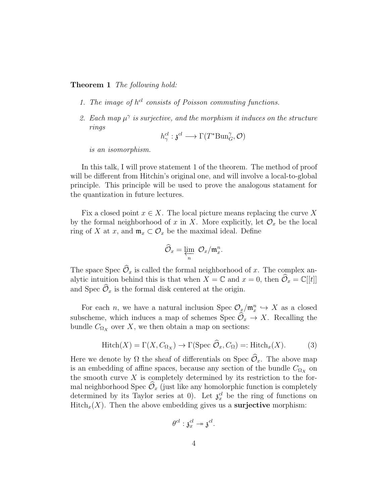## Theorem 1 The following hold:

- 1. The image of  $h^{cl}$  consists of Poisson commuting functions.
- 2. Each map  $\mu^{\gamma}$  is surjective, and the morphism it induces on the structure rings

$$
h^{cl}_{\gamma}: \mathfrak{z}^{cl} \longrightarrow \Gamma(T^* \text{Bun}^{\gamma}_G, \mathcal{O})
$$

is an isomorphism.

In this talk, I will prove statement 1 of the theorem. The method of proof will be different from Hitchin's original one, and will involve a local-to-global principle. This principle will be used to prove the analogous statament for the quantization in future lectures.

Fix a closed point  $x \in X$ . The local picture means replacing the curve X by the formal neighborhood of x in X. More explicitly, let  $\mathcal{O}_x$  be the local ring of X at x, and  $\mathfrak{m}_x \subset \mathcal{O}_x$  be the maximal ideal. Define

$$
\widehat{\mathcal{O}}_x = \varprojlim_n \ \mathcal{O}_x / \mathfrak{m}_x^n.
$$

The space Spec  $\widehat{\mathcal{O}}_x$  is called the formal neighborhood of x. The complex analytic intuition behind this is that when  $X = \mathbb{C}$  and  $x = 0$ , then  $\mathcal{O}_x = \mathbb{C}[[t]]$ and Spec  $\widehat{\mathcal{O}}_x$  is the formal disk centered at the origin.

For each *n*, we have a natural inclusion Spec  $\mathcal{O}_x/\mathfrak{m}_x^n \hookrightarrow X$  as a closed subscheme, which induces a map of schemes Spec  $\mathcal{O}_x \to X$ . Recalling the bundle  $C_{\Omega_X}$  over X, we then obtain a map on sections:

$$
Hitch(X) = \Gamma(X, C_{\Omega_X}) \to \Gamma(\text{Spec } \widehat{\mathcal{O}}_x, C_{\Omega}) =: Hitch_x(X). \tag{3}
$$

Here we denote by  $\Omega$  the sheaf of differentials on Spec  $\widehat{\mathcal{O}}_x$ . The above map is an embedding of affine spaces, because any section of the bundle  $C_{\Omega_X}$  on the smooth curve  $X$  is completely determined by its restriction to the formal neighborhood Spec  $\widehat{\mathcal{O}}_x$  (just like any homolorphic function is completely determined by its Taylor series at 0). Let  $\mathfrak{z}_x^{cl}$  be the ring of functions on  $Hitch_x(X)$ . Then the above embedding gives us a **surjective** morphism:

$$
\theta^{cl} : \mathfrak{z}_{x}^{cl} \twoheadrightarrow \mathfrak{z}^{cl}.
$$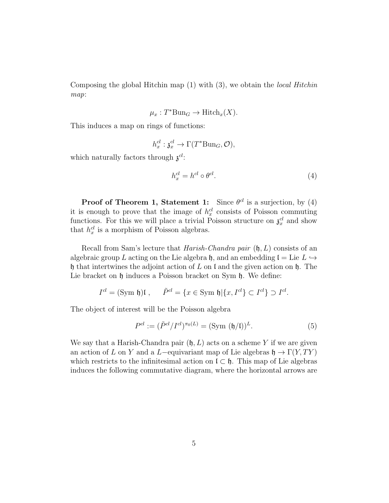Composing the global Hitchin map  $(1)$  with  $(3)$ , we obtain the *local Hitchin* map:

$$
\mu_x: T^* \text{Bun}_G \to \text{Hitch}_x(X).
$$

This induces a map on rings of functions:

$$
h_x^{cl}: \mathfrak{z}_x^{cl} \to \Gamma(T^* \text{Bun}_G, \mathcal{O}),
$$

which naturally factors through  $\mathfrak{z}^{cl}$ :

$$
h_x^{cl} = h^{cl} \circ \theta^{cl}.
$$
\n<sup>(4)</sup>

**Proof of Theorem 1, Statement 1:** Since  $\theta^{cl}$  is a surjection, by (4) it is enough to prove that the image of  $h_x^{cl}$  consists of Poisson commuting functions. For this we will place a trivial Poisson structure on  $\mathfrak{z}_x^{cl}$  and show that  $h_x^{cl}$  is a morphism of Poisson algebras.

Recall from Sam's lecture that *Harish-Chandra pair*  $(\mathfrak{h}, L)$  consists of an algebraic group L acting on the Lie algebra h, and an embedding  $\mathfrak{l} =$  Lie  $L \hookrightarrow$ h that intertwines the adjoint action of L on l and the given action on h. The Lie bracket on  $\mathfrak h$  induces a Poisson bracket on Sym  $\mathfrak h$ . We define:

$$
I^{cl} = (\text{Sym } \mathfrak{h})\mathfrak{l} \;, \qquad \tilde{P}^{cl} = \{ x \in \text{Sym } \mathfrak{h} | \{ x, I^{cl} \} \subset I^{cl} \} \supset I^{cl}.
$$

The object of interest will be the Poisson algebra

$$
P^{cl} := (\tilde{P}^{cl}/I^{cl})^{\pi_0(L)} = (\text{Sym } (\mathfrak{h}/\mathfrak{l}))^L.
$$
 (5)

We say that a Harish-Chandra pair  $(h, L)$  acts on a scheme Y if we are given an action of L on Y and a L–equivariant map of Lie algebras  $\mathfrak{h} \to \Gamma(Y, TY)$ which restricts to the infinitesimal action on  $\mathfrak{l} \subset \mathfrak{h}$ . This map of Lie algebras induces the following commutative diagram, where the horizontal arrows are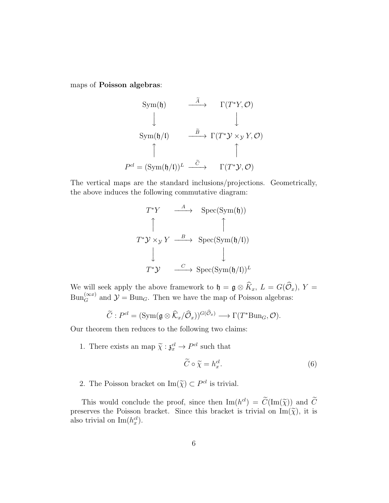maps of Poisson algebras:

$$
\text{Sym}(\mathfrak{h}) \qquad \xrightarrow{\widetilde{A}} \qquad \Gamma(T^*Y, \mathcal{O})
$$
\n
$$
\downarrow \qquad \qquad \downarrow
$$
\n
$$
\text{Sym}(\mathfrak{h}/\mathfrak{l}) \qquad \xrightarrow{\widetilde{B}} \Gamma(T^*Y \times_{\mathcal{Y}} Y, \mathcal{O})
$$
\n
$$
\uparrow \qquad \qquad \uparrow
$$
\n
$$
P^{cl} = (\text{Sym}(\mathfrak{h}/\mathfrak{l}))^L \xrightarrow{\widetilde{C}} \qquad \Gamma(T^*Y, \mathcal{O})
$$

The vertical maps are the standard inclusions/projections. Geometrically, the above induces the following commutative diagram:

$$
T^*Y \xrightarrow{A} \text{Spec}(\text{Sym}(\mathfrak{h}))
$$
  
\n
$$
\uparrow \qquad \qquad \uparrow
$$
  
\n
$$
T^*Y \times_{\mathcal{Y}} Y \xrightarrow{B} \text{Spec}(\text{Sym}(\mathfrak{h}/\mathfrak{l}))
$$
  
\n
$$
\downarrow \qquad \qquad \downarrow
$$
  
\n
$$
T^*Y \xrightarrow{C} \text{Spec}(\text{Sym}(\mathfrak{h}/\mathfrak{l}))^L
$$

We will seek apply the above framework to  $\mathfrak{h} = \mathfrak{g} \otimes K_x$ ,  $L = G(\mathcal{O}_x)$ ,  $Y =$  $\text{Bun}_{G}^{(\infty x)}$  and  $\mathcal{Y} = \text{Bun}_{G}$ . Then we have the map of Poisson algebras:

$$
\widetilde{C}: P^{cl} = (\text{Sym}(\mathfrak{g} \otimes \widehat{K}_x/\widehat{\mathcal{O}}_x))^{G(\widehat{\mathcal{O}}_x)} \longrightarrow \Gamma(T^* \text{Bun}_G, \mathcal{O}).
$$

Our theorem then reduces to the following two claims:

1. There exists an map  $\widetilde{\chi} : \mathfrak{z}_x^{cl} \to P^{cl}$  such that

$$
\widetilde{C} \circ \widetilde{\chi} = h_x^{cl}.\tag{6}
$$

2. The Poisson bracket on  $\text{Im}(\tilde{\chi}) \subset P^{cl}$  is trivial.

This would conclude the proof, since then  $\text{Im}(h^{cl}) = C(\text{Im}(\tilde{\chi}))$  and C<br>serves the Poisson brocket. Since this brocket is trivial on  $\text{Im}(\tilde{\chi})$  it is preserves the Poisson bracket. Since this bracket is trivial on  $\text{Im}(\tilde{\chi})$ , it is also trivial on  $\text{Im}(h_x^{cl})$ .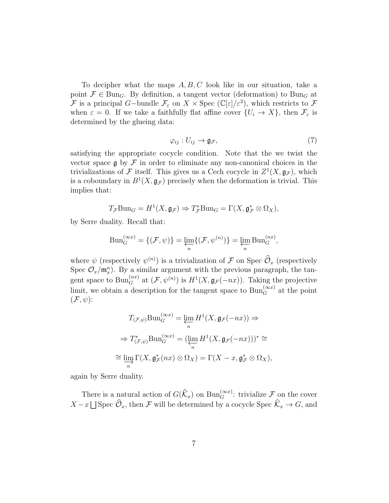To decipher what the maps  $A, B, C$  look like in our situation, take a point  $\mathcal{F} \in \text{Bun}_G$ . By definition, a tangent vector (deformation) to  $\text{Bun}_G$  at F is a principal G-bundle  $\mathcal{F}_{\varepsilon}$  on  $X \times \text{Spec } (\mathbb{C}[\varepsilon]/\varepsilon^2)$ , which restricts to F when  $\varepsilon = 0$ . If we take a faithfully flat affine cover  $\{U_i \to X\}$ , then  $\mathcal{F}_{\varepsilon}$  is determined by the glueing data:

$$
\varphi_{ij}: U_{ij} \to \mathfrak{g}_{\mathcal{F}},\tag{7}
$$

satisfying the appropriate cocycle condition. Note that the we twist the vector space  $\mathfrak g$  by  $\mathcal F$  in order to eliminate any non-canonical choices in the trivializations of F itself. This gives us a Cech cocycle in  $Z^1(X, \mathfrak{g}_{\mathcal{F}})$ , which is a coboundary in  $B^1(X, \mathfrak{g}_{\mathcal{F}})$  precisely when the deformation is trivial. This implies that:

$$
T_{\mathcal{F}}\mathrm{Bun}_G = H^1(X, \mathfrak{g}_{\mathcal{F}}) \Rightarrow T_{\mathcal{F}}^*\mathrm{Bun}_G = \Gamma(X, \mathfrak{g}_{\mathcal{F}}^*\otimes \Omega_X),
$$

by Serre duality. Recall that:

$$
Bun_G^{(\infty x)} = \{(\mathcal{F}, \psi)\} = \varprojlim_n \{(\mathcal{F}, \psi^{(n)})\} = \varprojlim_n Bun_G^{(nx)},
$$

where  $\psi$  (respectively  $\psi^{(n)}$ ) is a trivialization of  $\mathcal F$  on Spec  $\widehat{\mathcal O}_x$  (respectively Spec  $\mathcal{O}_x/\mathfrak{m}_x^n$ ). By a similar argument with the previous paragraph, the tangent space to  $\text{Bun}_G^{(nx)}$  at  $(\mathcal{F}, \psi^{(n)})$  is  $H^1(X, \mathfrak{g}_{\mathcal{F}}(-nx))$ . Taking the projective limit, we obtain a description for the tangent space to  $\text{Bun}_{G}^{(\infty x)}$  at the point  $(\mathcal{F}, \psi)$ :

$$
T_{(\mathcal{F},\psi)} \text{Bun}_G^{(\infty x)} = \varprojlim_n H^1(X, \mathfrak{g}_{\mathcal{F}}(-nx)) \Rightarrow
$$
  
\n
$$
\Rightarrow T_{(\mathcal{F},\psi)}^* \text{Bun}_G^{(\infty x)} = (\varprojlim_n H^1(X, \mathfrak{g}_{\mathcal{F}}(-nx)))^* \cong
$$
  
\n
$$
\cong \varinjlim_n \Gamma(X, \mathfrak{g}_{\mathcal{F}}^*(nx) \otimes \Omega_X) = \Gamma(X - x, \mathfrak{g}_{\mathcal{F}}^* \otimes \Omega_X),
$$

again by Serre duality.

There is a natural action of  $G(\widehat{k}_x)$  on  $\text{Bun}_G^{(\infty x)}$ : trivialize  $\mathcal F$  on the cover  $X - x \bigsqcup$  Spec  $\mathcal{O}_x$ , then F will be determined by a cocycle Spec  $\mathcal{K}_x \to G$ , and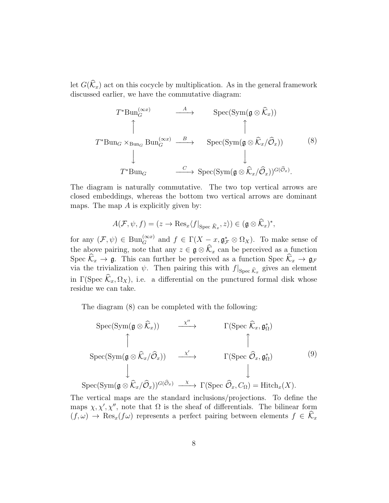let  $G(\widehat{K}_x)$  act on this cocycle by multiplication. As in the general framework discussed earlier, we have the commutative diagram:

$$
T^*\text{Bun}_G^{(\infty x)} \xrightarrow{A} \text{Spec}(\text{Sym}(\mathfrak{g}\otimes \widehat{\mathcal{K}}_x))
$$
  

$$
T^*\text{Bun}_G \times_{\text{Bun}_G} \text{Bun}_G^{(\infty x)} \xrightarrow{B} \text{Spec}(\text{Sym}(\mathfrak{g}\otimes \widehat{\mathcal{K}}_x/\widehat{\mathcal{O}}_x))
$$
  

$$
\downarrow \qquad \qquad \downarrow
$$
  

$$
T^*\text{Bun}_G \xrightarrow{C} \text{Spec}(\text{Sym}(\mathfrak{g}\otimes \widehat{\mathcal{K}}_x/\widehat{\mathcal{O}}_x))^{G(\widehat{\mathcal{O}}_x)}.
$$
  
(8)

The diagram is naturally commutative. The two top vertical arrows are closed embeddings, whereas the bottom two vertical arrows are dominant maps. The map  $A$  is explicitly given by:

$$
A(\mathcal{F}, \psi, f) = (z \to \text{Res}_x \langle f|_{\text{Spec } \widehat{K}_x}, z \rangle) \in (\mathfrak{g} \otimes \widehat{K}_x)^*,
$$

for any  $(\mathcal{F}, \psi) \in \text{Bun}_{G}^{(\infty x)}$  and  $f \in \Gamma(X - x, \mathfrak{g}_{\mathcal{F}}^* \otimes \Omega_X)$ . To make sense of the above pairing, note that any  $z \in \mathfrak{g} \otimes \mathcal{K}_x$  can be perceived as a function Spec  $\mathcal{K}_x \to \mathfrak{g}$ . This can further be perceived as a function Spec  $\mathcal{K}_x \to \mathfrak{g}_{\mathcal{F}}$ via the trivialization  $\psi$ . Then pairing this with  $f|_{\text{Spec } \hat{\mathcal{K}}_x}$  gives an element in Γ(Spec  $\widehat{K}_x, \Omega_X$ ), i.e. a differential on the punctured formal disk whose residue we can take.

The diagram (8) can be completed with the following:

$$
\begin{array}{ccc}\n\operatorname{Spec}(\operatorname{Sym}(\mathfrak{g}\otimes\widehat{\mathcal{K}}_{x})) & \xrightarrow{\chi''} & \Gamma(\operatorname{Spec} \widehat{\mathcal{K}}_{x},\mathfrak{g}_{\Omega}^{*}) \\
\uparrow & & \uparrow & \uparrow \\
\operatorname{Spec}(\operatorname{Sym}(\mathfrak{g}\otimes\widehat{\mathcal{K}}_{x}/\widehat{\mathcal{O}}_{x})) & \xrightarrow{\chi'} & \Gamma(\operatorname{Spec} \widehat{\mathcal{O}}_{x},\mathfrak{g}_{\Omega}^{*}) & (9) \\
\downarrow & & \downarrow & \downarrow \\
\operatorname{Spec}(\operatorname{Sym}(\mathfrak{g}\otimes\widehat{\mathcal{K}}_{x}/\widehat{\mathcal{O}}_{x}))^{G(\widehat{\mathcal{O}}_{x})} & \xrightarrow{\chi} & \Gamma(\operatorname{Spec} \widehat{\mathcal{O}}_{x},C_{\Omega}) = \operatorname{Hitch}_{x}(X).\n\end{array}
$$

The vertical maps are the standard inclusions/projections. To define the maps  $\chi, \chi', \chi''$ , note that  $\Omega$  is the sheaf of differentials. The bilinear form  $(f, \omega) \rightarrow \text{Res}_{x}(f\omega)$  represents a perfect pairing between elements  $f \in \widehat{K}_x$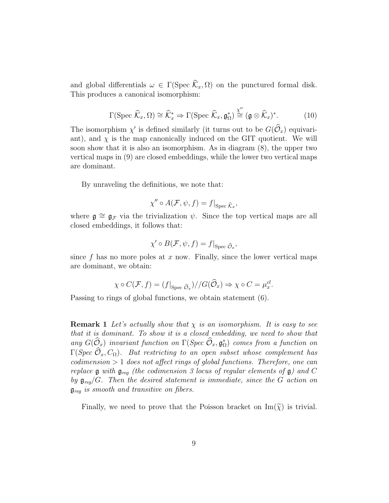and global differentials  $\omega \in \Gamma(\text{Spec } \widehat{\mathcal{K}}_x, \Omega)$  on the punctured formal disk. This produces a canonical isomorphism:

$$
\Gamma(\text{Spec }\widehat{\mathcal{K}}_x,\Omega) \cong \widehat{\mathcal{K}}_x^* \Rightarrow \Gamma(\text{Spec }\widehat{\mathcal{K}}_x,\mathfrak{g}_\Omega^*) \stackrel{\chi''}{\cong} (\mathfrak{g} \otimes \widehat{\mathcal{K}}_x)^*.
$$
 (10)

The isomorphism  $\chi'$  is defined similarly (it turns out to be  $G(\hat{\mathcal{O}}_x)$  equivariant), and  $\chi$  is the map canonically induced on the GIT quotient. We will soon show that it is also an isomorphism. As in diagram (8), the upper two vertical maps in (9) are closed embeddings, while the lower two vertical maps are dominant.

By unraveling the definitions, we note that:

$$
\chi'' \circ A(\mathcal{F}, \psi, f) = f|_{\text{Spec } \widehat{\mathcal{K}}_x},
$$

where  $\mathfrak{g} \cong \mathfrak{g}_{\mathcal{F}}$  via the trivialization  $\psi$ . Since the top vertical maps are all closed embeddings, it follows that:

$$
\chi' \circ B(\mathcal{F}, \psi, f) = f|_{\text{Spec } \widehat{\mathcal{O}}_x},
$$

since f has no more poles at x now. Finally, since the lower vertical maps are dominant, we obtain:

$$
\chi \circ C(\mathcal{F}, f) = (f|_{\text{Spec } \widehat{\mathcal{O}}_x}) / / G(\widehat{\mathcal{O}}_x) \Rightarrow \chi \circ C = \mu_x^{cl}.
$$

Passing to rings of global functions, we obtain statement (6).

**Remark 1** Let's actually show that  $\chi$  is an isomorphism. It is easy to see that it is dominant. To show it is a closed embedding, we need to show that any  $G(\hat{\mathcal{O}}_x)$  invariant function on  $\Gamma(Spec \hat{\mathcal{O}}_x, \mathfrak{g}_{\Omega}^*)$  comes from a function on  $\Gamma(Spec \hat{\mathcal{O}}_x, C_{\Omega})$ . But restricting to an open subset whose complement has  $codimension > 1$  does not affect rings of global functions. Therefore, one can replace  $\mathfrak g$  with  $\mathfrak g_{\text{req}}$  (the codimension 3 locus of regular elements of  $\mathfrak g$ ) and C by  $\mathfrak{g}_{req}/G$ . Then the desired statement is immediate, since the G action on  $\mathfrak{g}_{\text{req}}$  is smooth and transitive on fibers.

Finally, we need to prove that the Poisson bracket on  $\text{Im}(\tilde{\chi})$  is trivial.